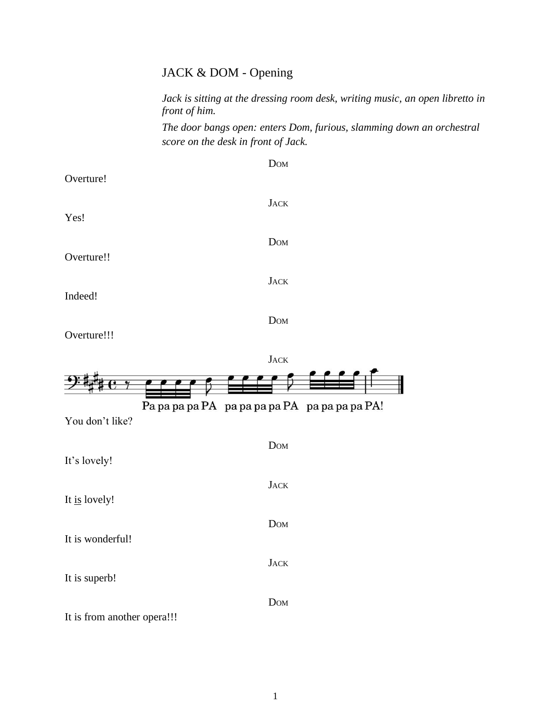# JACK & DOM - Opening

*Jack is sitting at the dressing room desk, writing music, an open libretto in front of him.*

*The door bangs open: enters Dom, furious, slamming down an orchestral score on the desk in front of Jack.*

| Overture!   | <b>DOM</b>  |
|-------------|-------------|
| Yes!        | <b>JACK</b> |
| Overture!!  | <b>DOM</b>  |
|             | <b>JACK</b> |
| Indeed!     | <b>DOM</b>  |
| Overture!!! |             |

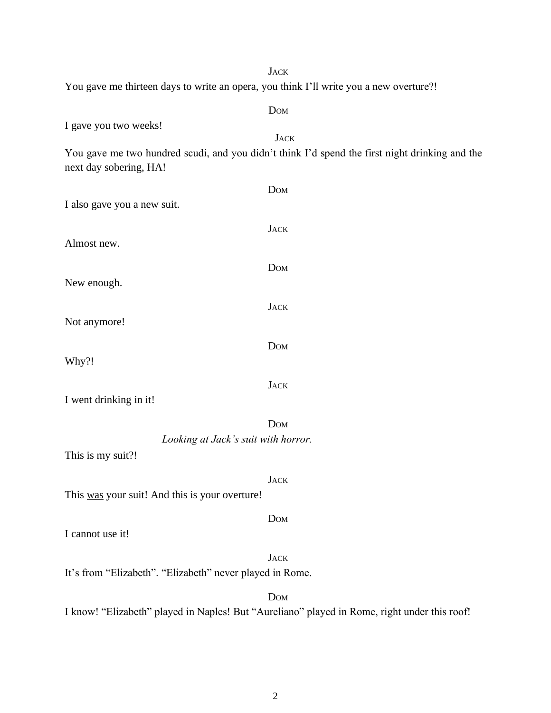| <b>JACK</b>                                                                                    |
|------------------------------------------------------------------------------------------------|
| You gave me thirteen days to write an opera, you think I'll write you a new overture?!         |
| Dom                                                                                            |
| I gave you two weeks!                                                                          |
| <b>JACK</b>                                                                                    |
| You gave me two hundred scudi, and you didn't think I'd spend the first night drinking and the |
| next day sobering, HA!                                                                         |
| <b>DOM</b>                                                                                     |
| I also gave you a new suit.                                                                    |
|                                                                                                |
| <b>JACK</b>                                                                                    |
| Almost new.                                                                                    |
| <b>DOM</b>                                                                                     |
| New enough.                                                                                    |
|                                                                                                |
| <b>JACK</b>                                                                                    |
| Not anymore!                                                                                   |
| <b>DOM</b>                                                                                     |
| Why?!                                                                                          |
| <b>JACK</b>                                                                                    |
| I went drinking in it!                                                                         |
|                                                                                                |
| <b>DOM</b>                                                                                     |
| Looking at Jack's suit with horror.                                                            |
| This is my suit?!                                                                              |
| <b>JACK</b>                                                                                    |
| This was your suit! And this is your overture!                                                 |
|                                                                                                |
| <b>DOM</b>                                                                                     |
| I cannot use it!                                                                               |
| <b>JACK</b>                                                                                    |
| It's from "Elizabeth". "Elizabeth" never played in Rome.                                       |
| <b>DOM</b>                                                                                     |
| I know! "Elizabeth" played in Naples! But "Aureliano" played in Rome, right under this roof!   |
|                                                                                                |
|                                                                                                |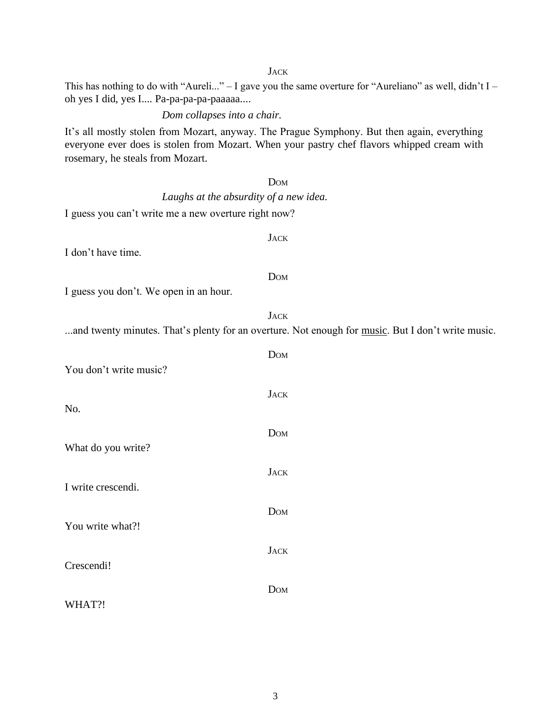#### **JACK**

This has nothing to do with "Aureli..." – I gave you the same overture for "Aureliano" as well, didn't I – oh yes I did, yes I.... Pa-pa-pa-pa-paaaaa....

### *Dom collapses into a chair.*

It's all mostly stolen from Mozart, anyway. The Prague Symphony. But then again, everything everyone ever does is stolen from Mozart. When your pastry chef flavors whipped cream with rosemary, he steals from Mozart.

# DOM *Laughs at the absurdity of a new idea.* I guess you can't write me a new overture right now? **JACK** I don't have time. DOM I guess you don't. We open in an hour. **JACK** ...and twenty minutes. That's plenty for an overture. Not enough for music. But I don't write music. DOM You don't write music? **JACK** No. DOM What do you write? **JACK** I write crescendi. DOM You write what?! **JACK** Crescendi! DOM WHAT?!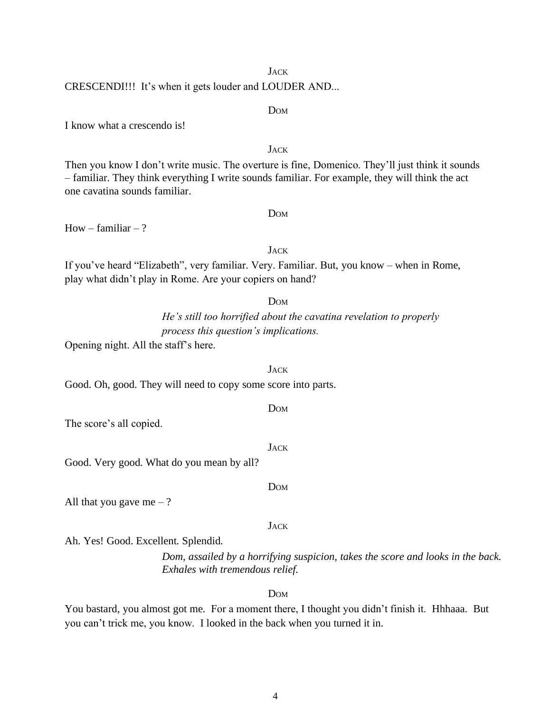#### 4

# **JACK** CRESCENDI!!! It's when it gets louder and LOUDER AND...

I know what a crescendo is!

# Then you know I don't write music. The overture is fine, Domenico. They'll just think it sounds – familiar. They think everything I write sounds familiar. For example, they will think the act one cavatina sounds familiar.

How – familiar – ?

# JACK

If you've heard "Elizabeth", very familiar. Very. Familiar. But, you know – when in Rome, play what didn't play in Rome. Are your copiers on hand?

#### DOM

*He's still too horrified about the cavatina revelation to properly process this question's implications.*

Opening night. All the staff's here.

Good. Oh, good. They will need to copy some score into parts.

#### DOM

**JACK** 

DOM

**JACK** 

The score's all copied.

Good. Very good. What do you mean by all?

All that you gave me  $-$ ?

Ah. Yes! Good. Excellent. Splendid.

*Dom, assailed by a horrifying suspicion, takes the score and looks in the back. Exhales with tremendous relief.*

DOM

You bastard, you almost got me. For a moment there, I thought you didn't finish it. Hhhaaa. But you can't trick me, you know. I looked in the back when you turned it in.

# DOM

**JACK** 

DOM

**JACK**